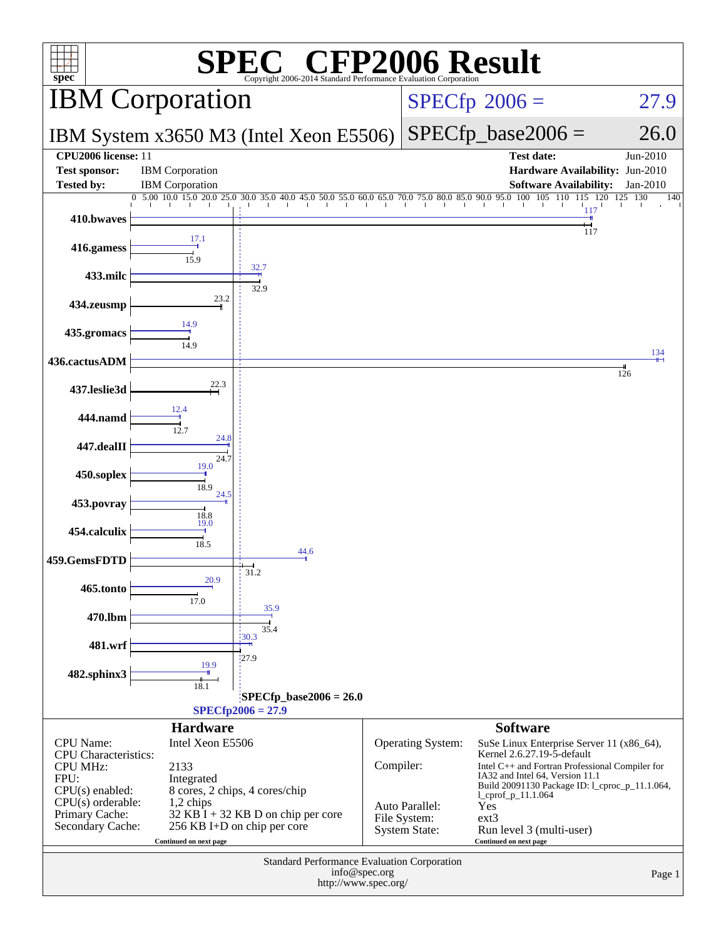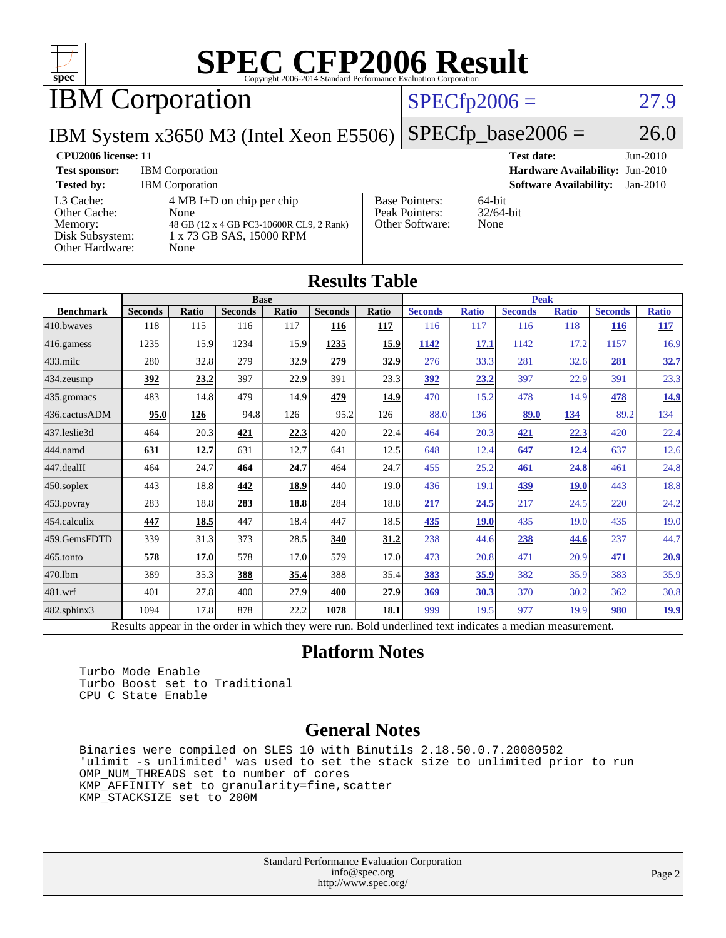

IBM Corporation

#### $SPECfp2006 = 27.9$  $SPECfp2006 = 27.9$

IBM System x3650 M3 (Intel Xeon E5506)

 $SPECfp\_base2006 = 26.0$ 

#### **[CPU2006 license:](http://www.spec.org/auto/cpu2006/Docs/result-fields.html#CPU2006license)** 11 **[Test date:](http://www.spec.org/auto/cpu2006/Docs/result-fields.html#Testdate)** Jun-2010 **[Test sponsor:](http://www.spec.org/auto/cpu2006/Docs/result-fields.html#Testsponsor)** IBM Corporation **[Hardware Availability:](http://www.spec.org/auto/cpu2006/Docs/result-fields.html#HardwareAvailability)** Jun-2010 **[Tested by:](http://www.spec.org/auto/cpu2006/Docs/result-fields.html#Testedby)** IBM Corporation **[Software Availability:](http://www.spec.org/auto/cpu2006/Docs/result-fields.html#SoftwareAvailability)** Jan-2010 [L3 Cache:](http://www.spec.org/auto/cpu2006/Docs/result-fields.html#L3Cache) 4 MB I+D on chip per chip [Other Cache:](http://www.spec.org/auto/cpu2006/Docs/result-fields.html#OtherCache) [Memory:](http://www.spec.org/auto/cpu2006/Docs/result-fields.html#Memory) 48 GB (12 x 4 GB PC3-10600R CL9, 2 Rank) [Disk Subsystem:](http://www.spec.org/auto/cpu2006/Docs/result-fields.html#DiskSubsystem) 1 x 73 GB SAS, 15000 RPM [Other Hardware:](http://www.spec.org/auto/cpu2006/Docs/result-fields.html#OtherHardware) None [Base Pointers:](http://www.spec.org/auto/cpu2006/Docs/result-fields.html#BasePointers) 64-bit<br>Peak Pointers: 32/64-bit [Peak Pointers:](http://www.spec.org/auto/cpu2006/Docs/result-fields.html#PeakPointers) [Other Software:](http://www.spec.org/auto/cpu2006/Docs/result-fields.html#OtherSoftware) None

| <b>Results Table</b> |                                                                                                          |       |                |       |                |       |                |              |                |              |                |              |
|----------------------|----------------------------------------------------------------------------------------------------------|-------|----------------|-------|----------------|-------|----------------|--------------|----------------|--------------|----------------|--------------|
|                      | <b>Base</b>                                                                                              |       |                |       |                |       | <b>Peak</b>    |              |                |              |                |              |
| <b>Benchmark</b>     | <b>Seconds</b>                                                                                           | Ratio | <b>Seconds</b> | Ratio | <b>Seconds</b> | Ratio | <b>Seconds</b> | <b>Ratio</b> | <b>Seconds</b> | <b>Ratio</b> | <b>Seconds</b> | <b>Ratio</b> |
| 410.bwayes           | 118                                                                                                      | 115   | 116            | 117   | 116            | 117   | 116            | 117          | 116            | 118          | <b>116</b>     | <u>117</u>   |
| 416.gamess           | 1235                                                                                                     | 15.9  | 1234           | 15.9  | 1235           | 15.9  | 1142           | 17.1         | 1142           | 17.2         | 1157           | 16.9         |
| $433$ .milc          | 280                                                                                                      | 32.8  | 279            | 32.9  | 279            | 32.9  | 276            | 33.3         | 281            | 32.6         | 281            | 32.7         |
| $434$ . zeusmp       | 392                                                                                                      | 23.2  | 397            | 22.9  | 391            | 23.3  | 392            | 23.2         | 397            | 22.9         | 391            | 23.3         |
| $435.$ gromacs       | 483                                                                                                      | 14.8  | 479            | 14.9  | 479            | 14.9  | 470            | 15.2         | 478            | 14.9         | 478            | 14.9         |
| 436.cactusADM        | 95.0                                                                                                     | 126   | 94.8           | 126   | 95.2           | 126   | 88.0           | 136          | 89.0           | 134          | 89.2           | 134          |
| 437.leslie3d         | 464                                                                                                      | 20.3  | 421            | 22.3  | 420            | 22.4  | 464            | 20.3         | 421            | 22.3         | 420            | 22.4         |
| 444.namd             | 631                                                                                                      | 12.7  | 631            | 12.7  | 641            | 12.5  | 648            | 12.4         | 647            | 12.4         | 637            | 12.6         |
| 447.dealII           | 464                                                                                                      | 24.7  | 464            | 24.7  | 464            | 24.7  | 455            | 25.2         | 461            | 24.8         | 461            | 24.8         |
| $450$ .soplex        | 443                                                                                                      | 18.8  | 442            | 18.9  | 440            | 19.0  | 436            | 19.1         | 439            | <b>19.0</b>  | 443            | 18.8         |
| $453$ .povray        | 283                                                                                                      | 18.8  | 283            | 18.8  | 284            | 18.8  | 217            | 24.5         | 217            | 24.5         | 220            | 24.2         |
| $ 454$ .calculix     | 447                                                                                                      | 18.5  | 447            | 18.4  | 447            | 18.5  | 435            | <b>19.0</b>  | 435            | 19.0         | 435            | 19.0         |
| 459.GemsFDTD         | 339                                                                                                      | 31.3  | 373            | 28.5  | 340            | 31.2  | 238            | 44.6         | 238            | 44.6         | 237            | 44.7         |
| $465$ .tonto         | 578                                                                                                      | 17.0  | 578            | 17.0  | 579            | 17.0  | 473            | 20.8         | 471            | 20.9         | 471            | 20.9         |
| 470.1bm              | 389                                                                                                      | 35.3  | 388            | 35.4  | 388            | 35.4  | 383            | 35.9         | 382            | 35.9         | 383            | 35.9         |
| $ 481$ .wrf          | 401                                                                                                      | 27.8  | 400            | 27.9  | 400            | 27.9  | 369            | 30.3         | 370            | 30.2         | 362            | 30.8         |
| $482$ .sphinx $3$    | 1094                                                                                                     | 17.8  | 878            | 22.2  | 1078           | 18.1  | 999            | 19.5         | 977            | 19.9         | 980            | <u>19.9</u>  |
|                      | Results appear in the order in which they were run. Bold underlined text indicates a median measurement. |       |                |       |                |       |                |              |                |              |                |              |

#### **[Platform Notes](http://www.spec.org/auto/cpu2006/Docs/result-fields.html#PlatformNotes)**

 Turbo Mode Enable Turbo Boost set to Traditional CPU C State Enable

#### **[General Notes](http://www.spec.org/auto/cpu2006/Docs/result-fields.html#GeneralNotes)**

 Binaries were compiled on SLES 10 with Binutils 2.18.50.0.7.20080502 'ulimit -s unlimited' was used to set the stack size to unlimited prior to run OMP\_NUM\_THREADS set to number of cores KMP\_AFFINITY set to granularity=fine,scatter KMP\_STACKSIZE set to 200M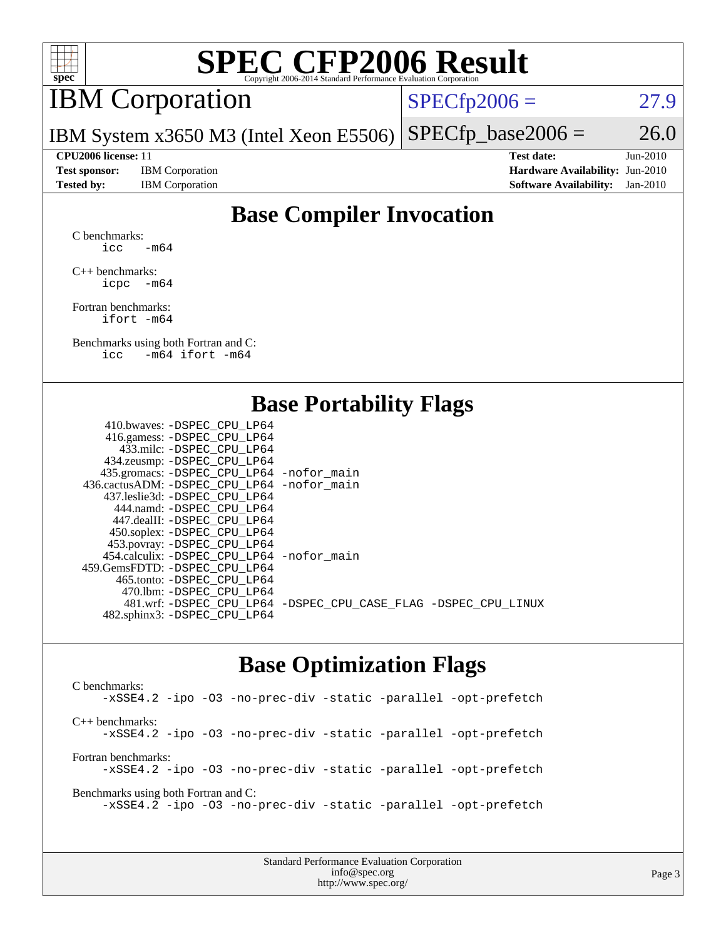

## IBM Corporation

 $SPECTp2006 = 27.9$ 

IBM System x3650 M3 (Intel Xeon E5506)  $SPECfp\_base2006 = 26.0$ 

**[Test sponsor:](http://www.spec.org/auto/cpu2006/Docs/result-fields.html#Testsponsor)** IBM Corporation **[Hardware Availability:](http://www.spec.org/auto/cpu2006/Docs/result-fields.html#HardwareAvailability)** Jun-2010

**[CPU2006 license:](http://www.spec.org/auto/cpu2006/Docs/result-fields.html#CPU2006license)** 11 **[Test date:](http://www.spec.org/auto/cpu2006/Docs/result-fields.html#Testdate)** Jun-2010 **[Tested by:](http://www.spec.org/auto/cpu2006/Docs/result-fields.html#Testedby)** IBM Corporation **[Software Availability:](http://www.spec.org/auto/cpu2006/Docs/result-fields.html#SoftwareAvailability)** Jan-2010

### **[Base Compiler Invocation](http://www.spec.org/auto/cpu2006/Docs/result-fields.html#BaseCompilerInvocation)**

[C benchmarks](http://www.spec.org/auto/cpu2006/Docs/result-fields.html#Cbenchmarks): icc  $-m64$ 

[C++ benchmarks:](http://www.spec.org/auto/cpu2006/Docs/result-fields.html#CXXbenchmarks) [icpc -m64](http://www.spec.org/cpu2006/results/res2010q3/cpu2006-20100719-12551.flags.html#user_CXXbase_intel_icpc_64bit_bedb90c1146cab66620883ef4f41a67e)

[Fortran benchmarks](http://www.spec.org/auto/cpu2006/Docs/result-fields.html#Fortranbenchmarks): [ifort -m64](http://www.spec.org/cpu2006/results/res2010q3/cpu2006-20100719-12551.flags.html#user_FCbase_intel_ifort_64bit_ee9d0fb25645d0210d97eb0527dcc06e)

[Benchmarks using both Fortran and C](http://www.spec.org/auto/cpu2006/Docs/result-fields.html#BenchmarksusingbothFortranandC): [icc -m64](http://www.spec.org/cpu2006/results/res2010q3/cpu2006-20100719-12551.flags.html#user_CC_FCbase_intel_icc_64bit_0b7121f5ab7cfabee23d88897260401c) [ifort -m64](http://www.spec.org/cpu2006/results/res2010q3/cpu2006-20100719-12551.flags.html#user_CC_FCbase_intel_ifort_64bit_ee9d0fb25645d0210d97eb0527dcc06e)

#### **[Base Portability Flags](http://www.spec.org/auto/cpu2006/Docs/result-fields.html#BasePortabilityFlags)**

| 410.bwaves: -DSPEC CPU LP64                 |                                                                |
|---------------------------------------------|----------------------------------------------------------------|
| 416.gamess: - DSPEC_CPU_LP64                |                                                                |
| 433.milc: -DSPEC CPU LP64                   |                                                                |
| 434.zeusmp: -DSPEC_CPU_LP64                 |                                                                |
| 435.gromacs: -DSPEC_CPU_LP64 -nofor_main    |                                                                |
| 436.cactusADM: -DSPEC CPU LP64 -nofor main  |                                                                |
| 437.leslie3d: -DSPEC CPU LP64               |                                                                |
| 444.namd: -DSPEC CPU LP64                   |                                                                |
| 447.dealII: -DSPEC CPU LP64                 |                                                                |
| 450.soplex: -DSPEC_CPU_LP64                 |                                                                |
| 453.povray: -DSPEC_CPU_LP64                 |                                                                |
| 454.calculix: - DSPEC CPU LP64 - nofor main |                                                                |
| 459.GemsFDTD: -DSPEC CPU LP64               |                                                                |
| 465.tonto: - DSPEC CPU LP64                 |                                                                |
| 470.1bm: - DSPEC CPU LP64                   |                                                                |
|                                             | 481.wrf: -DSPEC_CPU_LP64 -DSPEC_CPU_CASE_FLAG -DSPEC_CPU_LINUX |
| 482.sphinx3: -DSPEC_CPU_LP64                |                                                                |
|                                             |                                                                |

#### **[Base Optimization Flags](http://www.spec.org/auto/cpu2006/Docs/result-fields.html#BaseOptimizationFlags)**

[C benchmarks](http://www.spec.org/auto/cpu2006/Docs/result-fields.html#Cbenchmarks): [-xSSE4.2](http://www.spec.org/cpu2006/results/res2010q3/cpu2006-20100719-12551.flags.html#user_CCbase_f-xSSE42_f91528193cf0b216347adb8b939d4107) [-ipo](http://www.spec.org/cpu2006/results/res2010q3/cpu2006-20100719-12551.flags.html#user_CCbase_f-ipo) [-O3](http://www.spec.org/cpu2006/results/res2010q3/cpu2006-20100719-12551.flags.html#user_CCbase_f-O3) [-no-prec-div](http://www.spec.org/cpu2006/results/res2010q3/cpu2006-20100719-12551.flags.html#user_CCbase_f-no-prec-div) [-static](http://www.spec.org/cpu2006/results/res2010q3/cpu2006-20100719-12551.flags.html#user_CCbase_f-static) [-parallel](http://www.spec.org/cpu2006/results/res2010q3/cpu2006-20100719-12551.flags.html#user_CCbase_f-parallel) [-opt-prefetch](http://www.spec.org/cpu2006/results/res2010q3/cpu2006-20100719-12551.flags.html#user_CCbase_f-opt-prefetch) [C++ benchmarks:](http://www.spec.org/auto/cpu2006/Docs/result-fields.html#CXXbenchmarks) [-xSSE4.2](http://www.spec.org/cpu2006/results/res2010q3/cpu2006-20100719-12551.flags.html#user_CXXbase_f-xSSE42_f91528193cf0b216347adb8b939d4107) [-ipo](http://www.spec.org/cpu2006/results/res2010q3/cpu2006-20100719-12551.flags.html#user_CXXbase_f-ipo) [-O3](http://www.spec.org/cpu2006/results/res2010q3/cpu2006-20100719-12551.flags.html#user_CXXbase_f-O3) [-no-prec-div](http://www.spec.org/cpu2006/results/res2010q3/cpu2006-20100719-12551.flags.html#user_CXXbase_f-no-prec-div) [-static](http://www.spec.org/cpu2006/results/res2010q3/cpu2006-20100719-12551.flags.html#user_CXXbase_f-static) [-parallel](http://www.spec.org/cpu2006/results/res2010q3/cpu2006-20100719-12551.flags.html#user_CXXbase_f-parallel) [-opt-prefetch](http://www.spec.org/cpu2006/results/res2010q3/cpu2006-20100719-12551.flags.html#user_CXXbase_f-opt-prefetch) [Fortran benchmarks](http://www.spec.org/auto/cpu2006/Docs/result-fields.html#Fortranbenchmarks): [-xSSE4.2](http://www.spec.org/cpu2006/results/res2010q3/cpu2006-20100719-12551.flags.html#user_FCbase_f-xSSE42_f91528193cf0b216347adb8b939d4107) [-ipo](http://www.spec.org/cpu2006/results/res2010q3/cpu2006-20100719-12551.flags.html#user_FCbase_f-ipo) [-O3](http://www.spec.org/cpu2006/results/res2010q3/cpu2006-20100719-12551.flags.html#user_FCbase_f-O3) [-no-prec-div](http://www.spec.org/cpu2006/results/res2010q3/cpu2006-20100719-12551.flags.html#user_FCbase_f-no-prec-div) [-static](http://www.spec.org/cpu2006/results/res2010q3/cpu2006-20100719-12551.flags.html#user_FCbase_f-static) [-parallel](http://www.spec.org/cpu2006/results/res2010q3/cpu2006-20100719-12551.flags.html#user_FCbase_f-parallel) [-opt-prefetch](http://www.spec.org/cpu2006/results/res2010q3/cpu2006-20100719-12551.flags.html#user_FCbase_f-opt-prefetch) [Benchmarks using both Fortran and C](http://www.spec.org/auto/cpu2006/Docs/result-fields.html#BenchmarksusingbothFortranandC): [-xSSE4.2](http://www.spec.org/cpu2006/results/res2010q3/cpu2006-20100719-12551.flags.html#user_CC_FCbase_f-xSSE42_f91528193cf0b216347adb8b939d4107) [-ipo](http://www.spec.org/cpu2006/results/res2010q3/cpu2006-20100719-12551.flags.html#user_CC_FCbase_f-ipo) [-O3](http://www.spec.org/cpu2006/results/res2010q3/cpu2006-20100719-12551.flags.html#user_CC_FCbase_f-O3) [-no-prec-div](http://www.spec.org/cpu2006/results/res2010q3/cpu2006-20100719-12551.flags.html#user_CC_FCbase_f-no-prec-div) [-static](http://www.spec.org/cpu2006/results/res2010q3/cpu2006-20100719-12551.flags.html#user_CC_FCbase_f-static) [-parallel](http://www.spec.org/cpu2006/results/res2010q3/cpu2006-20100719-12551.flags.html#user_CC_FCbase_f-parallel) [-opt-prefetch](http://www.spec.org/cpu2006/results/res2010q3/cpu2006-20100719-12551.flags.html#user_CC_FCbase_f-opt-prefetch)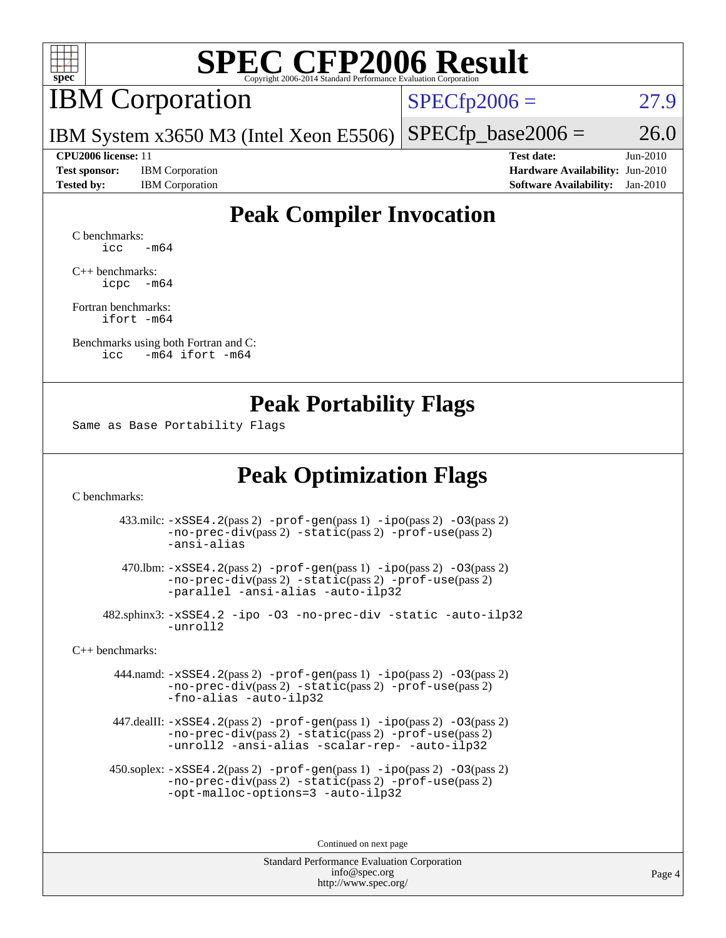

### IBM Corporation

 $SPECfp2006 = 27.9$  $SPECfp2006 = 27.9$ 

IBM System x3650 M3 (Intel Xeon E5506)  $SPECfp\_base2006 = 26.0$ 

**[Test sponsor:](http://www.spec.org/auto/cpu2006/Docs/result-fields.html#Testsponsor)** IBM Corporation **[Hardware Availability:](http://www.spec.org/auto/cpu2006/Docs/result-fields.html#HardwareAvailability)** Jun-2010

**[CPU2006 license:](http://www.spec.org/auto/cpu2006/Docs/result-fields.html#CPU2006license)** 11 **[Test date:](http://www.spec.org/auto/cpu2006/Docs/result-fields.html#Testdate)** Jun-2010 **[Tested by:](http://www.spec.org/auto/cpu2006/Docs/result-fields.html#Testedby)** IBM Corporation **[Software Availability:](http://www.spec.org/auto/cpu2006/Docs/result-fields.html#SoftwareAvailability)** Jan-2010

### **[Peak Compiler Invocation](http://www.spec.org/auto/cpu2006/Docs/result-fields.html#PeakCompilerInvocation)**

[C benchmarks](http://www.spec.org/auto/cpu2006/Docs/result-fields.html#Cbenchmarks):  $\text{icc}$   $-\text{m64}$ 

[C++ benchmarks:](http://www.spec.org/auto/cpu2006/Docs/result-fields.html#CXXbenchmarks) [icpc -m64](http://www.spec.org/cpu2006/results/res2010q3/cpu2006-20100719-12551.flags.html#user_CXXpeak_intel_icpc_64bit_bedb90c1146cab66620883ef4f41a67e)

[Fortran benchmarks](http://www.spec.org/auto/cpu2006/Docs/result-fields.html#Fortranbenchmarks): [ifort -m64](http://www.spec.org/cpu2006/results/res2010q3/cpu2006-20100719-12551.flags.html#user_FCpeak_intel_ifort_64bit_ee9d0fb25645d0210d97eb0527dcc06e)

[Benchmarks using both Fortran and C](http://www.spec.org/auto/cpu2006/Docs/result-fields.html#BenchmarksusingbothFortranandC): [icc -m64](http://www.spec.org/cpu2006/results/res2010q3/cpu2006-20100719-12551.flags.html#user_CC_FCpeak_intel_icc_64bit_0b7121f5ab7cfabee23d88897260401c) [ifort -m64](http://www.spec.org/cpu2006/results/res2010q3/cpu2006-20100719-12551.flags.html#user_CC_FCpeak_intel_ifort_64bit_ee9d0fb25645d0210d97eb0527dcc06e)

#### **[Peak Portability Flags](http://www.spec.org/auto/cpu2006/Docs/result-fields.html#PeakPortabilityFlags)**

Same as Base Portability Flags

#### **[Peak Optimization Flags](http://www.spec.org/auto/cpu2006/Docs/result-fields.html#PeakOptimizationFlags)**

[C benchmarks](http://www.spec.org/auto/cpu2006/Docs/result-fields.html#Cbenchmarks):

 433.milc: [-xSSE4.2](http://www.spec.org/cpu2006/results/res2010q3/cpu2006-20100719-12551.flags.html#user_peakPASS2_CFLAGSPASS2_LDFLAGS433_milc_f-xSSE42_f91528193cf0b216347adb8b939d4107)(pass 2) [-prof-gen](http://www.spec.org/cpu2006/results/res2010q3/cpu2006-20100719-12551.flags.html#user_peakPASS1_CFLAGSPASS1_LDFLAGS433_milc_prof_gen_e43856698f6ca7b7e442dfd80e94a8fc)(pass 1) [-ipo](http://www.spec.org/cpu2006/results/res2010q3/cpu2006-20100719-12551.flags.html#user_peakPASS2_CFLAGSPASS2_LDFLAGS433_milc_f-ipo)(pass 2) [-O3](http://www.spec.org/cpu2006/results/res2010q3/cpu2006-20100719-12551.flags.html#user_peakPASS2_CFLAGSPASS2_LDFLAGS433_milc_f-O3)(pass 2) [-no-prec-div](http://www.spec.org/cpu2006/results/res2010q3/cpu2006-20100719-12551.flags.html#user_peakPASS2_CFLAGSPASS2_LDFLAGS433_milc_f-no-prec-div)(pass 2) [-static](http://www.spec.org/cpu2006/results/res2010q3/cpu2006-20100719-12551.flags.html#user_peakPASS2_CFLAGSPASS2_LDFLAGS433_milc_f-static)(pass 2) [-prof-use](http://www.spec.org/cpu2006/results/res2010q3/cpu2006-20100719-12551.flags.html#user_peakPASS2_CFLAGSPASS2_LDFLAGS433_milc_prof_use_bccf7792157ff70d64e32fe3e1250b55)(pass 2) [-ansi-alias](http://www.spec.org/cpu2006/results/res2010q3/cpu2006-20100719-12551.flags.html#user_peakOPTIMIZE433_milc_f-ansi-alias)

 470.lbm: [-xSSE4.2](http://www.spec.org/cpu2006/results/res2010q3/cpu2006-20100719-12551.flags.html#user_peakPASS2_CFLAGSPASS2_LDFLAGS470_lbm_f-xSSE42_f91528193cf0b216347adb8b939d4107)(pass 2) [-prof-gen](http://www.spec.org/cpu2006/results/res2010q3/cpu2006-20100719-12551.flags.html#user_peakPASS1_CFLAGSPASS1_LDFLAGS470_lbm_prof_gen_e43856698f6ca7b7e442dfd80e94a8fc)(pass 1) [-ipo](http://www.spec.org/cpu2006/results/res2010q3/cpu2006-20100719-12551.flags.html#user_peakPASS2_CFLAGSPASS2_LDFLAGS470_lbm_f-ipo)(pass 2) [-O3](http://www.spec.org/cpu2006/results/res2010q3/cpu2006-20100719-12551.flags.html#user_peakPASS2_CFLAGSPASS2_LDFLAGS470_lbm_f-O3)(pass 2) [-no-prec-div](http://www.spec.org/cpu2006/results/res2010q3/cpu2006-20100719-12551.flags.html#user_peakPASS2_CFLAGSPASS2_LDFLAGS470_lbm_f-no-prec-div)(pass 2) [-static](http://www.spec.org/cpu2006/results/res2010q3/cpu2006-20100719-12551.flags.html#user_peakPASS2_CFLAGSPASS2_LDFLAGS470_lbm_f-static)(pass 2) [-prof-use](http://www.spec.org/cpu2006/results/res2010q3/cpu2006-20100719-12551.flags.html#user_peakPASS2_CFLAGSPASS2_LDFLAGS470_lbm_prof_use_bccf7792157ff70d64e32fe3e1250b55)(pass 2) [-parallel](http://www.spec.org/cpu2006/results/res2010q3/cpu2006-20100719-12551.flags.html#user_peakOPTIMIZE470_lbm_f-parallel) [-ansi-alias](http://www.spec.org/cpu2006/results/res2010q3/cpu2006-20100719-12551.flags.html#user_peakOPTIMIZE470_lbm_f-ansi-alias) [-auto-ilp32](http://www.spec.org/cpu2006/results/res2010q3/cpu2006-20100719-12551.flags.html#user_peakCOPTIMIZE470_lbm_f-auto-ilp32)

 482.sphinx3: [-xSSE4.2](http://www.spec.org/cpu2006/results/res2010q3/cpu2006-20100719-12551.flags.html#user_peakOPTIMIZE482_sphinx3_f-xSSE42_f91528193cf0b216347adb8b939d4107) [-ipo](http://www.spec.org/cpu2006/results/res2010q3/cpu2006-20100719-12551.flags.html#user_peakOPTIMIZE482_sphinx3_f-ipo) [-O3](http://www.spec.org/cpu2006/results/res2010q3/cpu2006-20100719-12551.flags.html#user_peakOPTIMIZE482_sphinx3_f-O3) [-no-prec-div](http://www.spec.org/cpu2006/results/res2010q3/cpu2006-20100719-12551.flags.html#user_peakOPTIMIZE482_sphinx3_f-no-prec-div) [-static](http://www.spec.org/cpu2006/results/res2010q3/cpu2006-20100719-12551.flags.html#user_peakOPTIMIZE482_sphinx3_f-static) [-auto-ilp32](http://www.spec.org/cpu2006/results/res2010q3/cpu2006-20100719-12551.flags.html#user_peakCOPTIMIZE482_sphinx3_f-auto-ilp32) [-unroll2](http://www.spec.org/cpu2006/results/res2010q3/cpu2006-20100719-12551.flags.html#user_peakCOPTIMIZE482_sphinx3_f-unroll_784dae83bebfb236979b41d2422d7ec2)

[C++ benchmarks:](http://www.spec.org/auto/cpu2006/Docs/result-fields.html#CXXbenchmarks)

 444.namd: [-xSSE4.2](http://www.spec.org/cpu2006/results/res2010q3/cpu2006-20100719-12551.flags.html#user_peakPASS2_CXXFLAGSPASS2_LDFLAGS444_namd_f-xSSE42_f91528193cf0b216347adb8b939d4107)(pass 2) [-prof-gen](http://www.spec.org/cpu2006/results/res2010q3/cpu2006-20100719-12551.flags.html#user_peakPASS1_CXXFLAGSPASS1_LDFLAGS444_namd_prof_gen_e43856698f6ca7b7e442dfd80e94a8fc)(pass 1) [-ipo](http://www.spec.org/cpu2006/results/res2010q3/cpu2006-20100719-12551.flags.html#user_peakPASS2_CXXFLAGSPASS2_LDFLAGS444_namd_f-ipo)(pass 2) [-O3](http://www.spec.org/cpu2006/results/res2010q3/cpu2006-20100719-12551.flags.html#user_peakPASS2_CXXFLAGSPASS2_LDFLAGS444_namd_f-O3)(pass 2) [-no-prec-div](http://www.spec.org/cpu2006/results/res2010q3/cpu2006-20100719-12551.flags.html#user_peakPASS2_CXXFLAGSPASS2_LDFLAGS444_namd_f-no-prec-div)(pass 2) [-static](http://www.spec.org/cpu2006/results/res2010q3/cpu2006-20100719-12551.flags.html#user_peakPASS2_CXXFLAGSPASS2_LDFLAGS444_namd_f-static)(pass 2) [-prof-use](http://www.spec.org/cpu2006/results/res2010q3/cpu2006-20100719-12551.flags.html#user_peakPASS2_CXXFLAGSPASS2_LDFLAGS444_namd_prof_use_bccf7792157ff70d64e32fe3e1250b55)(pass 2) [-fno-alias](http://www.spec.org/cpu2006/results/res2010q3/cpu2006-20100719-12551.flags.html#user_peakOPTIMIZE444_namd_f-no-alias_694e77f6c5a51e658e82ccff53a9e63a) [-auto-ilp32](http://www.spec.org/cpu2006/results/res2010q3/cpu2006-20100719-12551.flags.html#user_peakCXXOPTIMIZE444_namd_f-auto-ilp32)

 447.dealII: [-xSSE4.2](http://www.spec.org/cpu2006/results/res2010q3/cpu2006-20100719-12551.flags.html#user_peakPASS2_CXXFLAGSPASS2_LDFLAGS447_dealII_f-xSSE42_f91528193cf0b216347adb8b939d4107)(pass 2) [-prof-gen](http://www.spec.org/cpu2006/results/res2010q3/cpu2006-20100719-12551.flags.html#user_peakPASS1_CXXFLAGSPASS1_LDFLAGS447_dealII_prof_gen_e43856698f6ca7b7e442dfd80e94a8fc)(pass 1) [-ipo](http://www.spec.org/cpu2006/results/res2010q3/cpu2006-20100719-12551.flags.html#user_peakPASS2_CXXFLAGSPASS2_LDFLAGS447_dealII_f-ipo)(pass 2) [-O3](http://www.spec.org/cpu2006/results/res2010q3/cpu2006-20100719-12551.flags.html#user_peakPASS2_CXXFLAGSPASS2_LDFLAGS447_dealII_f-O3)(pass 2) [-no-prec-div](http://www.spec.org/cpu2006/results/res2010q3/cpu2006-20100719-12551.flags.html#user_peakPASS2_CXXFLAGSPASS2_LDFLAGS447_dealII_f-no-prec-div)(pass 2) [-static](http://www.spec.org/cpu2006/results/res2010q3/cpu2006-20100719-12551.flags.html#user_peakPASS2_CXXFLAGSPASS2_LDFLAGS447_dealII_f-static)(pass 2) [-prof-use](http://www.spec.org/cpu2006/results/res2010q3/cpu2006-20100719-12551.flags.html#user_peakPASS2_CXXFLAGSPASS2_LDFLAGS447_dealII_prof_use_bccf7792157ff70d64e32fe3e1250b55)(pass 2) [-unroll2](http://www.spec.org/cpu2006/results/res2010q3/cpu2006-20100719-12551.flags.html#user_peakOPTIMIZE447_dealII_f-unroll_784dae83bebfb236979b41d2422d7ec2) [-ansi-alias](http://www.spec.org/cpu2006/results/res2010q3/cpu2006-20100719-12551.flags.html#user_peakOPTIMIZE447_dealII_f-ansi-alias) [-scalar-rep-](http://www.spec.org/cpu2006/results/res2010q3/cpu2006-20100719-12551.flags.html#user_peakOPTIMIZE447_dealII_f-disablescalarrep_abbcad04450fb118e4809c81d83c8a1d) [-auto-ilp32](http://www.spec.org/cpu2006/results/res2010q3/cpu2006-20100719-12551.flags.html#user_peakCXXOPTIMIZE447_dealII_f-auto-ilp32)

 450.soplex: [-xSSE4.2](http://www.spec.org/cpu2006/results/res2010q3/cpu2006-20100719-12551.flags.html#user_peakPASS2_CXXFLAGSPASS2_LDFLAGS450_soplex_f-xSSE42_f91528193cf0b216347adb8b939d4107)(pass 2) [-prof-gen](http://www.spec.org/cpu2006/results/res2010q3/cpu2006-20100719-12551.flags.html#user_peakPASS1_CXXFLAGSPASS1_LDFLAGS450_soplex_prof_gen_e43856698f6ca7b7e442dfd80e94a8fc)(pass 1) [-ipo](http://www.spec.org/cpu2006/results/res2010q3/cpu2006-20100719-12551.flags.html#user_peakPASS2_CXXFLAGSPASS2_LDFLAGS450_soplex_f-ipo)(pass 2) [-O3](http://www.spec.org/cpu2006/results/res2010q3/cpu2006-20100719-12551.flags.html#user_peakPASS2_CXXFLAGSPASS2_LDFLAGS450_soplex_f-O3)(pass 2) [-no-prec-div](http://www.spec.org/cpu2006/results/res2010q3/cpu2006-20100719-12551.flags.html#user_peakPASS2_CXXFLAGSPASS2_LDFLAGS450_soplex_f-no-prec-div)(pass 2) [-static](http://www.spec.org/cpu2006/results/res2010q3/cpu2006-20100719-12551.flags.html#user_peakPASS2_CXXFLAGSPASS2_LDFLAGS450_soplex_f-static)(pass 2) [-prof-use](http://www.spec.org/cpu2006/results/res2010q3/cpu2006-20100719-12551.flags.html#user_peakPASS2_CXXFLAGSPASS2_LDFLAGS450_soplex_prof_use_bccf7792157ff70d64e32fe3e1250b55)(pass 2) [-opt-malloc-options=3](http://www.spec.org/cpu2006/results/res2010q3/cpu2006-20100719-12551.flags.html#user_peakOPTIMIZE450_soplex_f-opt-malloc-options_13ab9b803cf986b4ee62f0a5998c2238) [-auto-ilp32](http://www.spec.org/cpu2006/results/res2010q3/cpu2006-20100719-12551.flags.html#user_peakCXXOPTIMIZE450_soplex_f-auto-ilp32)

Continued on next page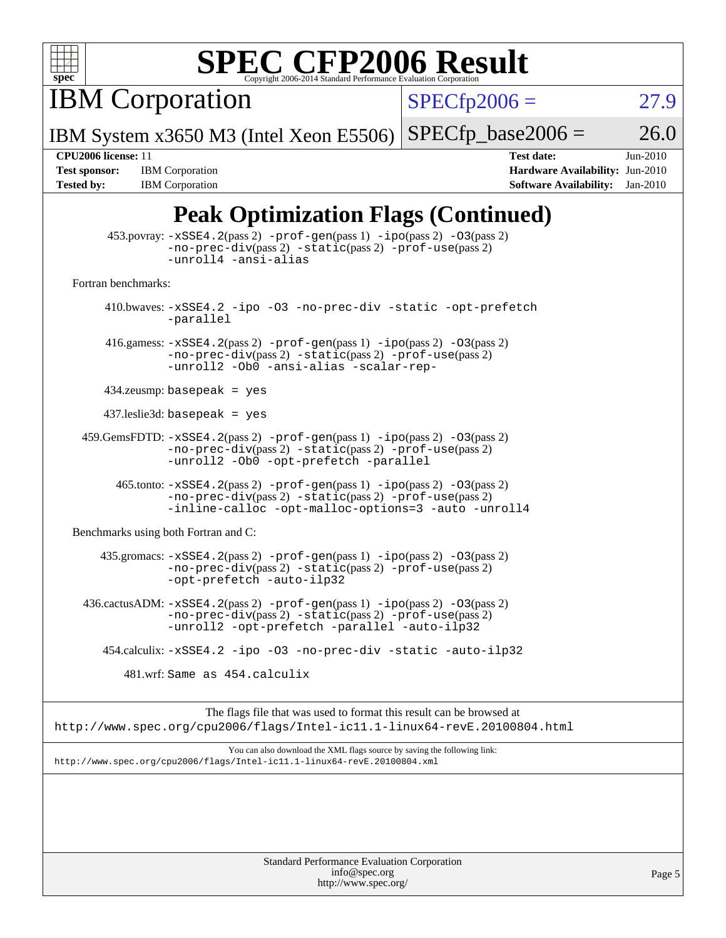

IBM Corporation

 $SPECfp2006 = 27.9$  $SPECfp2006 = 27.9$ 

IBM System x3650 M3 (Intel Xeon E5506)  $SPECfp\_base2006 = 26.0$ 

**[Tested by:](http://www.spec.org/auto/cpu2006/Docs/result-fields.html#Testedby)** IBM Corporation **[Software Availability:](http://www.spec.org/auto/cpu2006/Docs/result-fields.html#SoftwareAvailability)** Jan-2010

**[CPU2006 license:](http://www.spec.org/auto/cpu2006/Docs/result-fields.html#CPU2006license)** 11 **[Test date:](http://www.spec.org/auto/cpu2006/Docs/result-fields.html#Testdate)** Jun-2010 **[Test sponsor:](http://www.spec.org/auto/cpu2006/Docs/result-fields.html#Testsponsor)** IBM Corporation **[Hardware Availability:](http://www.spec.org/auto/cpu2006/Docs/result-fields.html#HardwareAvailability)** Jun-2010

### **[Peak Optimization Flags \(Continued\)](http://www.spec.org/auto/cpu2006/Docs/result-fields.html#PeakOptimizationFlags)**

|                                      | $\sum_{i=1}^{n}$                                                                                                                                                                                            |
|--------------------------------------|-------------------------------------------------------------------------------------------------------------------------------------------------------------------------------------------------------------|
|                                      | $453.$ povray: $-xSSE4.2(pass2)$ -prof-gen $(pass1)$ -ipo $(pass2)$ -03 $(pass2)$<br>-no-prec-div(pass 2) -static(pass 2) -prof-use(pass 2)<br>-unroll4 -ansi-alias                                         |
| Fortran benchmarks:                  |                                                                                                                                                                                                             |
|                                      | 410.bwaves: -xSSE4.2 -ipo -03 -no-prec-div -static -opt-prefetch<br>-parallel                                                                                                                               |
|                                      | 416.gamess: $-xSSE4$ . 2(pass 2) $-prof-gen(pass 1) -ipo(pass 2) -03(pass 2)$<br>$-no-prec-div(pass 2) -static(pass 2) -prof-use(pass 2)$<br>-unroll2 -Ob0 -ansi-alias -scalar-rep-                         |
|                                      | $434$ .zeusmp: basepeak = yes                                                                                                                                                                               |
|                                      | $437$ leslie3d: basepeak = yes                                                                                                                                                                              |
|                                      | $459.GemsFDTD: -xSSE4.2(pass 2) -prof-gen(pass 1) -ipo(pass 2) -03(pass 2)$<br>-no-prec-div(pass 2) -static(pass 2) -prof-use(pass 2)<br>-unroll2 -Ob0 -opt-prefetch -parallel                              |
|                                      | 465.tonto: -xSSE4.2(pass 2) -prof-gen(pass 1) -ipo(pass 2) -03(pass 2)<br>$-no\text{-prec-div}(pass 2)$ $-static(pass 2)$ $-prof\text{-use}(pass 2)$<br>-inline-calloc -opt-malloc-options=3 -auto -unroll4 |
| Benchmarks using both Fortran and C: |                                                                                                                                                                                                             |
|                                      | 435.gromacs: -xSSE4.2(pass 2) -prof-gen(pass 1) -ipo(pass 2) -03(pass 2)<br>-no-prec-div(pass 2) -static(pass 2) -prof-use(pass 2)<br>-opt-prefetch -auto-ilp32                                             |
|                                      | $436.cactusADM: -xSSE4.2(pass 2) -prof-gen(pass 1) -ipo(pass 2) -03(pass 2)$<br>-no-prec-div(pass 2) -static(pass 2) -prof-use(pass 2)<br>-unroll2 -opt-prefetch -parallel -auto-ilp32                      |
|                                      | 454.calculix: -xSSE4.2 -ipo -03 -no-prec-div -static -auto-ilp32                                                                                                                                            |
|                                      | 481.wrf: Same as 454.calculix                                                                                                                                                                               |
|                                      | The flags file that was used to format this result can be browsed at<br>http://www.spec.org/cpu2006/flags/Intel-ic11.1-linux64-revE.20100804.html                                                           |
|                                      | You can also download the XML flags source by saving the following link:<br>http://www.spec.org/cpu2006/flags/Intel-ic11.1-linux64-revE.20100804.xml                                                        |
|                                      |                                                                                                                                                                                                             |
|                                      | Standard Performance Evaluation Cornoration                                                                                                                                                                 |